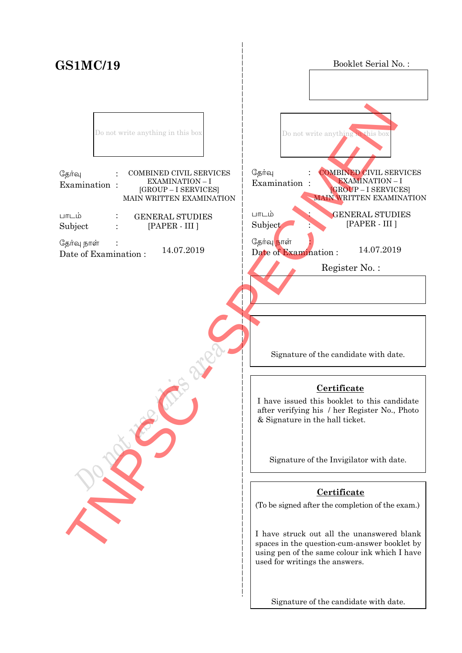

Signature of the candidate with date.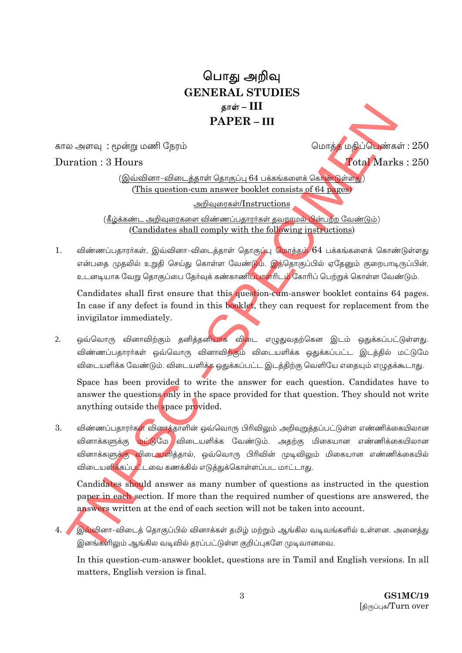# பொது அறிவு **GENERAL STUDIES** தாள் –  $III$ PAPER-III

கால அளவு : மூன்று மணி நேரம்

Duration: 3 Hours

மொத்த மதிப்பெண்கள் :  $250$ 

Total Marks: 250

(இவ்வினா-விடைத்தாள் தொகுப்பு 64 பக்கங்களைக் கொண்டுள்ளது) (This question-cum answer booklet consists of 64 pages) அறிவுரைகள்/Instructions

(கீழ்க்கண்ட அறிவுரைகளை விண்ணப்பதாரர்கள் தவறாமல் பின்பற்ற வேண்டும்) (Candidates shall comply with the following instructions)

1. விண்ணப்பதாரர்கள், இவ்வினா-விடைத்தாள் தொகுப்பு <mark>மொத்தம் 64 பக்கங்களைக் கொண்டுள்ளது</mark> என்பதை முதலில் உறுதி செய்து கொள்ள வேண்டும். இத்தொகுப்பில் ஏதேனும் குறைபாடிருப்பின், உடனடியாக வேறு கொகுப்பை கேர்வக் கண்காணிப்பாளரிடம் கோரிப் பெற்றுக் கொள்ள வேண்டும்.

Candidates shall first ensure that this question-cum-answer booklet contains 64 pages. In case if any defect is found in this booklet, they can request for replacement from the invigilator immediately.

ஒவ்வொரு வினாவிற்கும் தனித்தனி<mark>யாக விடை</mark> எழுதுவதற்கென இடம் ஒதுக்கப்பட்டுள்ளது.  $\overline{2}$ . விண்ணப்பதாரா்கள் ஒவ்வொரு வினாவிற்கும் விடையளிக்க ஒதுக்கப்பட்ட இடத்தில் மட்டுமே விடையளிக்க வேண்டும். விடையளிக்க ஒதுக்கப்பட்ட இடத்திற்கு வெளியே எதையும் எழுதக்கூடாது.

Space has been provided to write the answer for each question. Candidates have to answer the questions only in the space provided for that question. They should not write anything outside the space provided.

3. விண்ணப்பதாரர்கள் வினாத்தாளின் ஒவ்வொரு பிரிவிலும் அறிவுறுத்தப்பட்டுள்ள எண்ணிக்கையிலான வினாக்களுக்கு <mark>மட்டுமே </mark>விடையளிக்க வேண்டும். அதற்கு மிகையான எண்ணிக்கையிலான வினாக்களுக்கு விடையளிக்கால், ஒவ்வொரு பிரிவின் முடிவிலும் மிகையான எண்ணிக்கையில் விடையள<mark>ிக்கப்பட்</mark>டவை கணக்கில் எடுத்துக்கொள்ளப்பட மாட்டாது.

Candidates should answer as many number of questions as instructed in the question paper in each section. If more than the required number of questions are answered, the answers written at the end of each section will not be taken into account.

இவ்வினா-விடைத் தொகுப்பில் வினாக்கள் தமிழ் மற்றும் ஆங்கில வடிவங்களில் உள்ளன. அனைத்து  $4.7$ இனங்களிலும் ஆங்கில வடிவில் தரப்பட்டுள்ள குறிப்புகளே முடிவானவை.

In this question-cum-answer booklet, questions are in Tamil and English versions. In all matters, English version is final.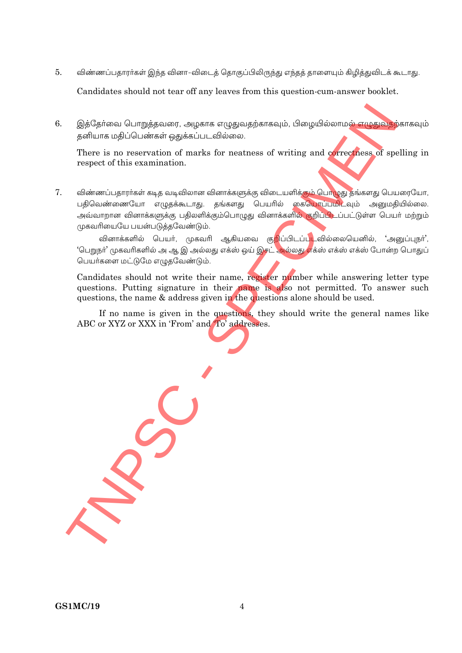$5<sub>1</sub>$ விண்ணப்பதாரா்கள் இந்த வினா-விடைத் தொகுப்பிலிருந்து எந்தத் தாளையும் கிழித்துவிடக் கூடாது.

Candidates should not tear off any leaves from this question-cum-answer booklet.

6. இத்தேர்வை பொறுத்தவரை, அழகாக எழுதுவதற்காகவும், பிழையில்லாம<mark>ல் எழுதுவதற்</mark>காகவும் தனியாக மதிப்பெண்கள் ஒதுக்கப்படவில்லை.

There is no reservation of marks for neatness of writing and correctness of spelling in respect of this examination.

7. விண்ணப்பதாரா்கள் கடித வடிவிலான வினாக்களுக்கு விடையளிக்<mark>கும் பொழுது தங்களது பெயரையோ,</mark> பதிவெண்ணையோ எழுதக்கூடாது. தங்களது பெயரில் கையொப்பமிடவும் அனுமதியில்லை. அவ்வாறான வினாக்களுக்கு பதிலளிக்கும்பொழுது வினாக்களில<mark>் குறிப்ப</mark>ிடப்பட்டுள்ள பெயர் மற்றும் முகவரியையே பயன்படுத்தவேண்டும்.

வினாக்களில் பெயர், முகவரி ஆகியவை கு<mark>றிப்பிடப்ப</mark>டவில்லையெனில், 'அனுப்புநர்', 'பெறுநா்' முகவரிகளில் அ ஆ இ அல்லது எக்ஸ் ஒய் இசட் அல்லது <mark>எ</mark>க்ஸ் எக்ஸ் எக்ஸ் போன்ற பொதுப் பெயர்களை மட்டுமே எழுதவேண்டும்.

Candidates should not write their name, register number while answering letter type questions. Putting signature in their name is also not permitted. To answer such questions, the name & address given in the questions alone should be used.

If no name is given in the questions, they should write the general names like ABC or XYZ or XXX in 'From' and 'To' addresses.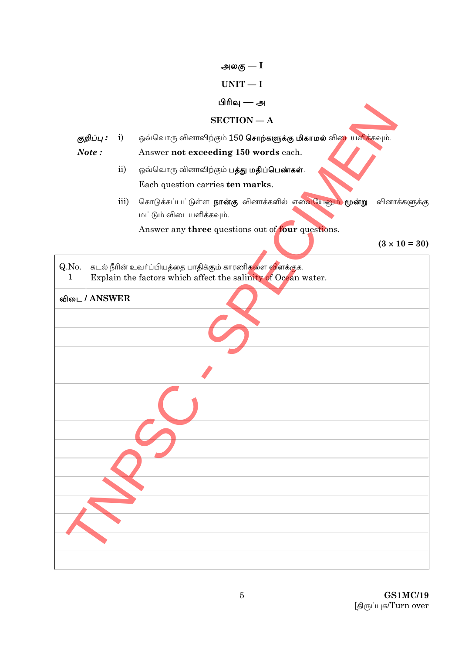|               | அலகு — $\rm I$                                                                                                   |
|---------------|------------------------------------------------------------------------------------------------------------------|
|               | $UNIT-I$                                                                                                         |
|               | பிரிவு — அ                                                                                                       |
|               | $SECTION - A$                                                                                                    |
| குறிப்பு :    | ஒவ்வொரு வினாவிற்கும் 150 சொ <b>ற்களுக்கு மிகாமல்</b> வி <b>டையளிக்க</b> வும்.<br>i)                              |
| Note:         | Answer not exceeding 150 words each.                                                                             |
|               | ii)<br>ஒவ்வொரு வினாவிற்கும் <b>பத்து மதிப்பெண்கள்</b> .                                                          |
|               | Each question carries ten marks.                                                                                 |
|               | கொடுக்கப்பட்டுள்ள <b>நான்கு</b> வினாக்களில் எவையேனும் மூன்று<br>iii)<br>வினாக்களுக்கு<br>மட்டும் விடையளிக்கவும். |
|               | Answer any three questions out of four questions.                                                                |
|               | $(3 \times 10 = 30)$                                                                                             |
| விடை / ANSWER | Explain the factors which affect the salinity of Ocean water.                                                    |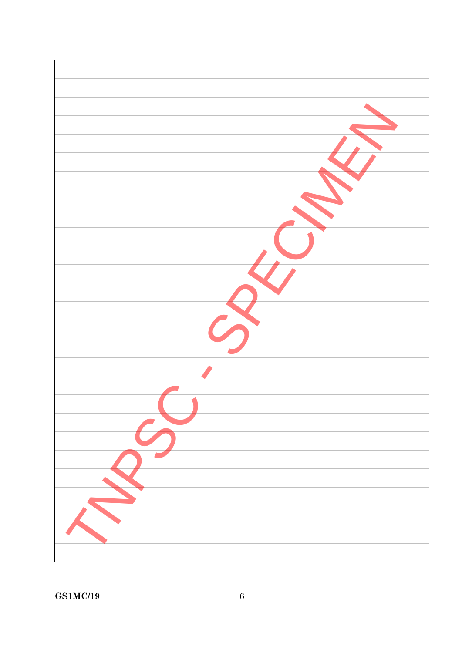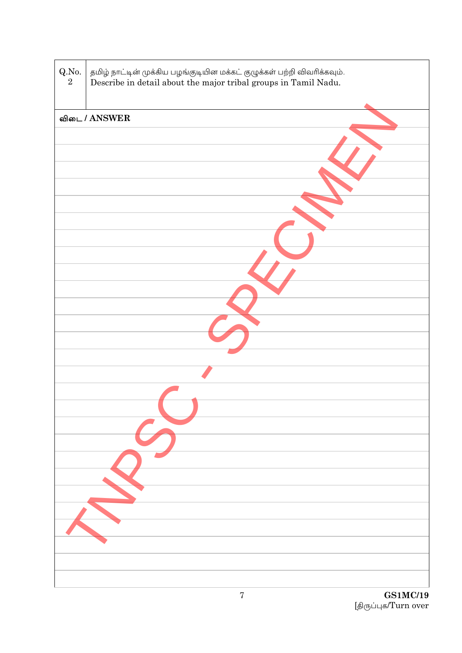| Q.No.<br>$\sqrt{2}$ | தமிழ் நாட்டின் முக்கிய பழங்குடியின மக்கட் குழுக்கள் பற்றி விவரிக்கவும்.<br>Describe in detail about the major tribal groups in Tamil Nadu. |
|---------------------|--------------------------------------------------------------------------------------------------------------------------------------------|
|                     | விடை / ANSWER                                                                                                                              |
|                     |                                                                                                                                            |
|                     |                                                                                                                                            |
|                     |                                                                                                                                            |
|                     |                                                                                                                                            |
|                     |                                                                                                                                            |
|                     |                                                                                                                                            |
|                     |                                                                                                                                            |
|                     |                                                                                                                                            |
|                     |                                                                                                                                            |
|                     |                                                                                                                                            |
|                     |                                                                                                                                            |
|                     |                                                                                                                                            |
|                     |                                                                                                                                            |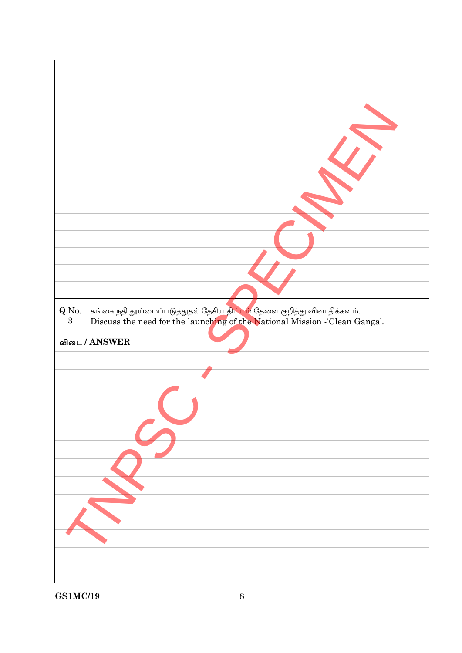| Q.No.<br>கங்கை நதி தூய்மைப்படுத்துதல் தேசிய திட்டம் தேவை குறித்து விவாதிக்கவும்.               |
|------------------------------------------------------------------------------------------------|
| $\boldsymbol{3}$<br>Discuss the need for the launching of the National Mission - Clean Ganga'. |
| விடை / ANSWER                                                                                  |
|                                                                                                |
|                                                                                                |
|                                                                                                |
|                                                                                                |
|                                                                                                |
|                                                                                                |
|                                                                                                |
|                                                                                                |
|                                                                                                |
|                                                                                                |
|                                                                                                |
|                                                                                                |
|                                                                                                |
|                                                                                                |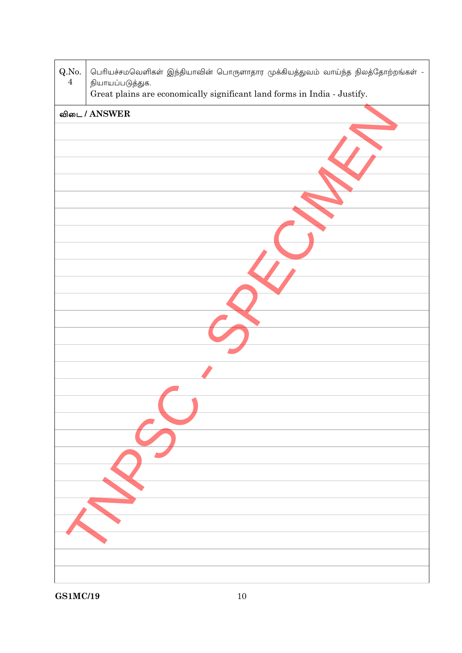| Q.No.<br>$\overline{4}$ | பெரியச்சமவெளிகள் இந்தியாவின் பொருளாதார முக்கியத்துவம் வாய்ந்த நிலத்தோற்றங்கள் -<br>நியாயப்படுத்துக.<br>Great plains are economically significant land forms in India - Justify. |
|-------------------------|---------------------------------------------------------------------------------------------------------------------------------------------------------------------------------|
|                         | விடை / ANSWER                                                                                                                                                                   |
|                         |                                                                                                                                                                                 |
|                         |                                                                                                                                                                                 |
|                         |                                                                                                                                                                                 |
|                         |                                                                                                                                                                                 |
|                         |                                                                                                                                                                                 |
|                         |                                                                                                                                                                                 |
|                         |                                                                                                                                                                                 |
|                         |                                                                                                                                                                                 |
|                         |                                                                                                                                                                                 |
|                         |                                                                                                                                                                                 |
|                         |                                                                                                                                                                                 |
|                         |                                                                                                                                                                                 |
|                         |                                                                                                                                                                                 |
|                         |                                                                                                                                                                                 |
|                         |                                                                                                                                                                                 |
|                         |                                                                                                                                                                                 |
|                         |                                                                                                                                                                                 |
|                         |                                                                                                                                                                                 |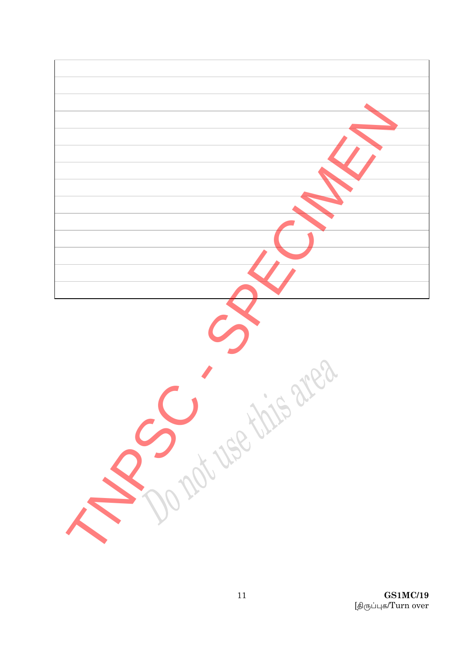| Show we this |
|--------------|
|              |
|              |
|              |
|              |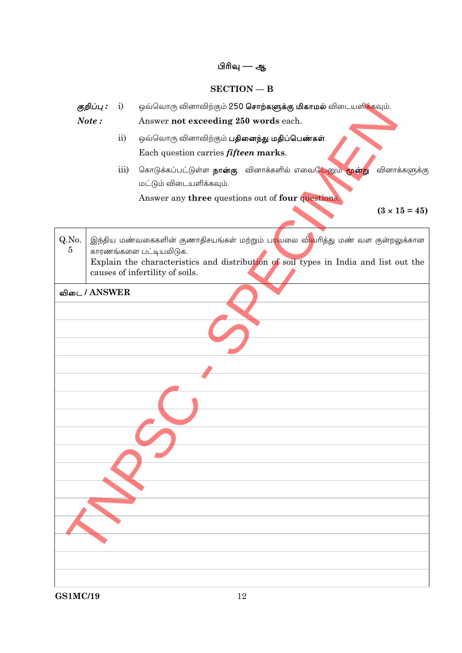## பிரிவு — ஆ

#### $SECTION - B$

குறிப்பு : ஒவ்வொரு வினாவிற்கும் 250 **சொற்களுக்கு மிகாமல்** விடையளி<mark>க்க</mark>வும்.  $i)$ Note: Answer not exceeding 250 words each. ஒவ்வொரு வினாவிற்கும் **பதினைந்து மதிப்பெண்கள்**.  $\overline{ii}$ Each question carries *fifteen* marks.  $iii)$ கொடுக்கப்பட்டுள்ள **நான்கு** வினாக்களில் எவையேனும் மூன்று வினாக்களுக்கு மட்டும் விடையளிக்கவும். Answer any three questions out of four questions  $(3 \times 15 = 45)$ இந்திய மண்வகைகளின் குணாதிசயங்கள் மற்றும் ப<mark>ர</mark>வலை வி<mark>வ</mark>ரித்து மண் வள குன்றலுக்கான Q.No.  $\bf 5$ காரணங்களை பட்டியலிடுக. Explain the characteristics and distribution of soil types in India and list out the causes of infertility of soils. விடை / ANSWER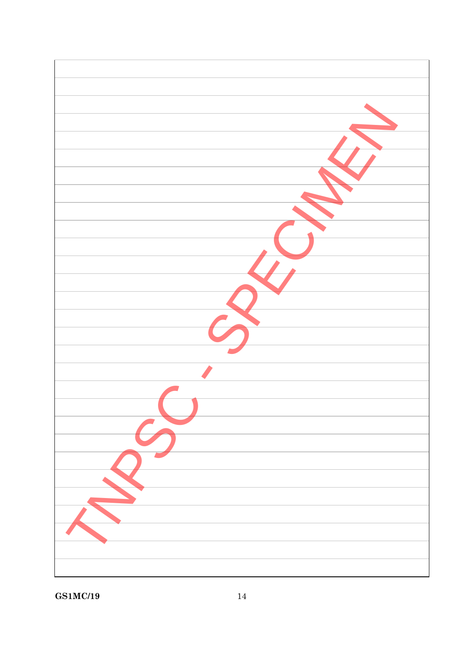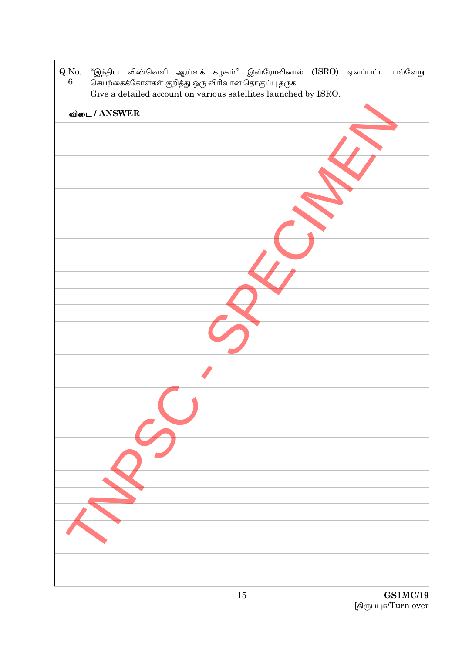| Q.No.<br>$\,6\,$ | விண்வெளி ஆய்வுக் கழகம்" இஸ்ரோவினால் (ISRO) ஏவப்பட்ட பல்வேறு<br>"இந்திய<br>செயற்கைக்கோள்கள் குறித்து ஒரு விரிவான தொகுப்பு தருக.<br>Give a detailed account on various satellites launched by ISRO. |  |
|------------------|---------------------------------------------------------------------------------------------------------------------------------------------------------------------------------------------------|--|
|                  | விடை / ANSWER                                                                                                                                                                                     |  |
|                  |                                                                                                                                                                                                   |  |
|                  |                                                                                                                                                                                                   |  |
|                  |                                                                                                                                                                                                   |  |
|                  |                                                                                                                                                                                                   |  |
|                  |                                                                                                                                                                                                   |  |
|                  |                                                                                                                                                                                                   |  |
|                  |                                                                                                                                                                                                   |  |
|                  |                                                                                                                                                                                                   |  |
|                  |                                                                                                                                                                                                   |  |
|                  |                                                                                                                                                                                                   |  |
|                  |                                                                                                                                                                                                   |  |
|                  |                                                                                                                                                                                                   |  |
|                  |                                                                                                                                                                                                   |  |
|                  |                                                                                                                                                                                                   |  |
|                  |                                                                                                                                                                                                   |  |
|                  |                                                                                                                                                                                                   |  |
|                  |                                                                                                                                                                                                   |  |
|                  |                                                                                                                                                                                                   |  |
|                  |                                                                                                                                                                                                   |  |
|                  |                                                                                                                                                                                                   |  |
|                  |                                                                                                                                                                                                   |  |
|                  |                                                                                                                                                                                                   |  |
|                  |                                                                                                                                                                                                   |  |
|                  |                                                                                                                                                                                                   |  |
|                  |                                                                                                                                                                                                   |  |
|                  |                                                                                                                                                                                                   |  |
|                  |                                                                                                                                                                                                   |  |
|                  |                                                                                                                                                                                                   |  |
|                  |                                                                                                                                                                                                   |  |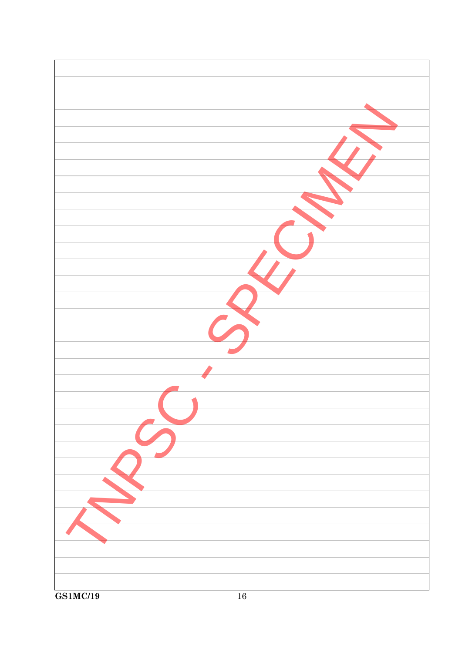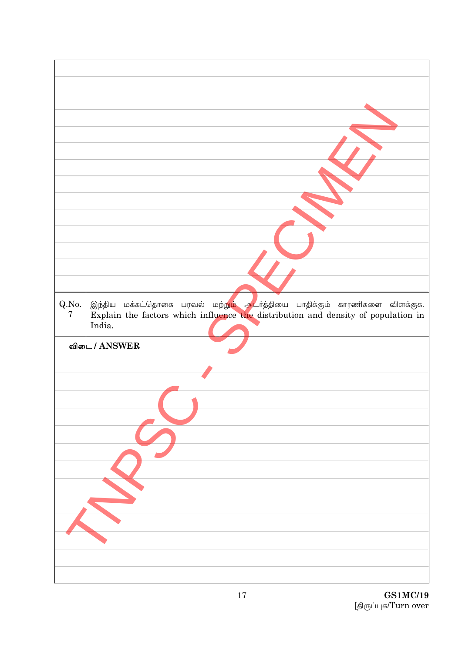| Q.No.          | இந்திய மக்கட்தொகை பரவல் மற் <mark>றும் அ</mark> டா்த்தியை பாதிக்கும் காரணிகளை விளக்குக. |
|----------------|-----------------------------------------------------------------------------------------|
| $\overline{7}$ | Explain the factors which influence the distribution and density of population in       |
|                | India.                                                                                  |
|                | விடை / ANSWER                                                                           |
|                |                                                                                         |
|                |                                                                                         |
|                |                                                                                         |
|                |                                                                                         |
|                |                                                                                         |
|                |                                                                                         |
|                |                                                                                         |
|                |                                                                                         |
|                |                                                                                         |
|                |                                                                                         |
|                |                                                                                         |
|                |                                                                                         |
|                |                                                                                         |
|                |                                                                                         |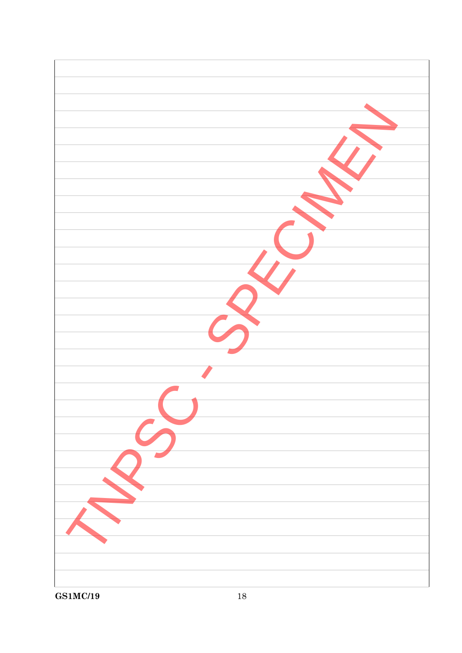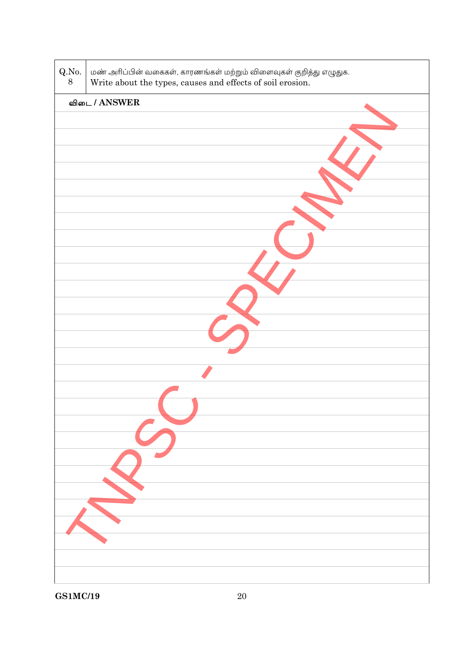| Q.No.<br>மண் அரிப்பின் வகைகள், காரணங்கள் மற்றும் விளைவுகள் குறித்து எழுதுக.<br>$8\,$<br>Write about the types, causes and effects of soil erosion. |  |
|----------------------------------------------------------------------------------------------------------------------------------------------------|--|
| விடை / ANSWER                                                                                                                                      |  |
|                                                                                                                                                    |  |
|                                                                                                                                                    |  |
|                                                                                                                                                    |  |
|                                                                                                                                                    |  |
|                                                                                                                                                    |  |
|                                                                                                                                                    |  |
|                                                                                                                                                    |  |
|                                                                                                                                                    |  |
|                                                                                                                                                    |  |
|                                                                                                                                                    |  |
|                                                                                                                                                    |  |
|                                                                                                                                                    |  |
|                                                                                                                                                    |  |
|                                                                                                                                                    |  |
|                                                                                                                                                    |  |
|                                                                                                                                                    |  |
|                                                                                                                                                    |  |
|                                                                                                                                                    |  |
|                                                                                                                                                    |  |
|                                                                                                                                                    |  |
|                                                                                                                                                    |  |
|                                                                                                                                                    |  |
|                                                                                                                                                    |  |
|                                                                                                                                                    |  |

20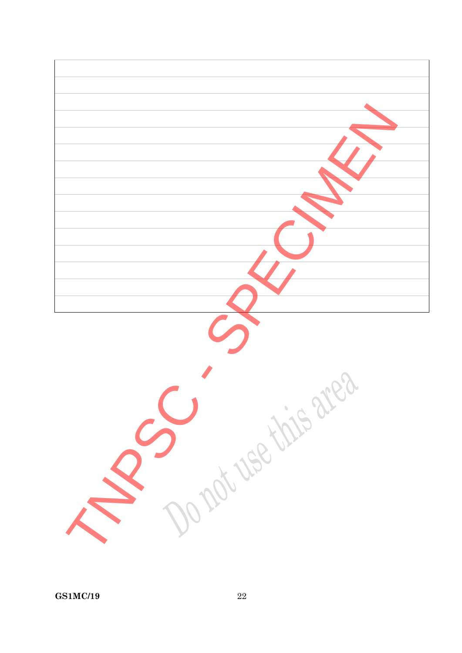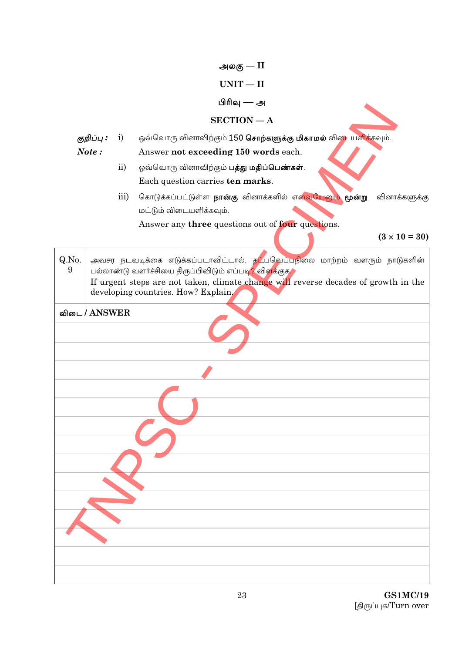அலகு —  $II$ 

 $UNIT - II$ 

பிரிவு — அ

 $SECTION - A$ 

- ஒவ்வொரு வினாவிற்கும் 150 **சொற்களுக்கு மிகாமல்** வி**டையளிக்க**வும். குறிப்பு :  $i)$
- Note: Answer not exceeding 150 words each.
	- ஒவ்வொரு வினாவிற்கும் **பத்து மதிப்பெண்கள்**.  $\overline{ii}$ Each question carries ten marks.
	- கொடுக்கப்பட்டுள்ள **நான்கு** வினாக்களில் எ<mark>வையேனும்</mark> மூன்று  $iii)$ வினாக்களுக்கு மட்டும் விடையளிக்கவும்.

Answer any three questions out of four questions.

 $(3 \times 10 = 30)$ 

| Q.No.<br>9 | அவசர நடவடிக்கை எடுக்கப்படாவிட்டால், த <mark>ட்பவெப்பநிலை மாற்றம் வளரும் நாடுகளின்</mark><br>பல்லாண்டு வளர்ச்சியை திருப்பிவிடும் எப்படி? விளக்குக. |
|------------|---------------------------------------------------------------------------------------------------------------------------------------------------|
|            | If urgent steps are not taken, climate change will reverse decades of growth in the<br>developing countries. How? Explain                         |
|            | விடை / ANSWER                                                                                                                                     |
|            |                                                                                                                                                   |
|            |                                                                                                                                                   |
|            |                                                                                                                                                   |
|            |                                                                                                                                                   |
|            |                                                                                                                                                   |
|            |                                                                                                                                                   |
|            |                                                                                                                                                   |
|            |                                                                                                                                                   |
|            |                                                                                                                                                   |
|            |                                                                                                                                                   |
|            |                                                                                                                                                   |
|            |                                                                                                                                                   |
|            |                                                                                                                                                   |
|            |                                                                                                                                                   |
|            |                                                                                                                                                   |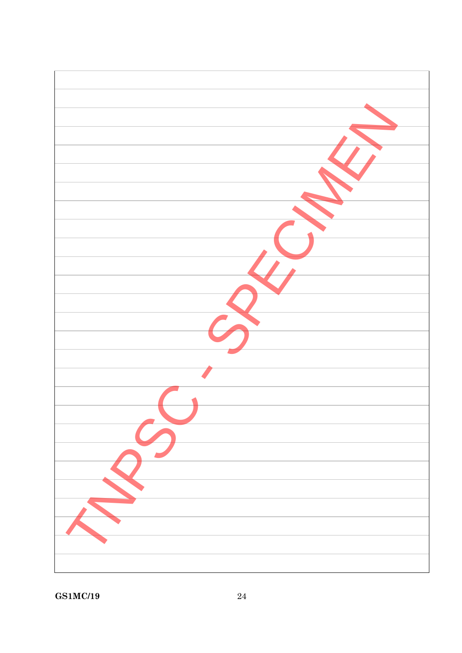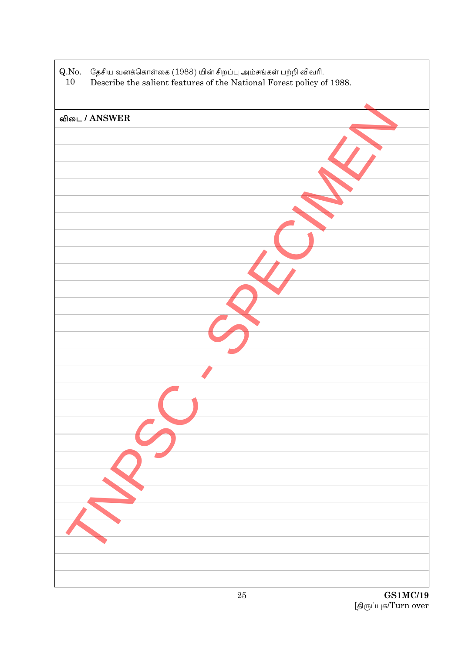| Q.No.<br>10 | தேசிய வனக்கொள்கை (1988) யின் சிறப்பு அம்சங்கள் பற்றி விவரி.<br>Describe the salient features of the National Forest policy of 1988. |
|-------------|-------------------------------------------------------------------------------------------------------------------------------------|
|             |                                                                                                                                     |
|             | விடை / ANSWER                                                                                                                       |
|             |                                                                                                                                     |
|             |                                                                                                                                     |
|             |                                                                                                                                     |
|             |                                                                                                                                     |
|             |                                                                                                                                     |
|             |                                                                                                                                     |
|             |                                                                                                                                     |
|             |                                                                                                                                     |
|             |                                                                                                                                     |
|             |                                                                                                                                     |
|             |                                                                                                                                     |
|             |                                                                                                                                     |
|             |                                                                                                                                     |
|             |                                                                                                                                     |
|             |                                                                                                                                     |
|             |                                                                                                                                     |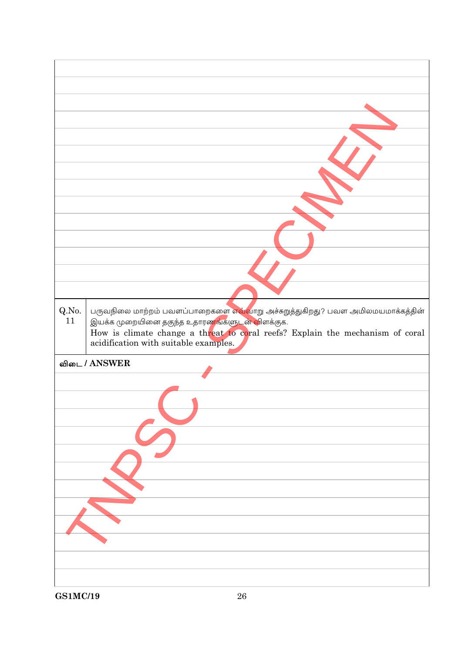| Q.No.    | பருவநிலை மாற்றம் பவளப்பாறைகளை எவ்வாறு அச்சுறுத்துகிறது? பவள அமிலமயமாக்கத்தின்                                          |
|----------|------------------------------------------------------------------------------------------------------------------------|
| 11       | இயக்க முறையினை தகுந்த உதாரணங்களுடன் விளக்குக.                                                                          |
|          | How is climate change a threat to coral reefs? Explain the mechanism of coral<br>acidification with suitable examples. |
|          | விடை / ANSWER                                                                                                          |
|          |                                                                                                                        |
|          |                                                                                                                        |
|          |                                                                                                                        |
|          |                                                                                                                        |
|          |                                                                                                                        |
|          |                                                                                                                        |
|          |                                                                                                                        |
|          |                                                                                                                        |
|          |                                                                                                                        |
|          |                                                                                                                        |
|          |                                                                                                                        |
|          |                                                                                                                        |
|          |                                                                                                                        |
|          |                                                                                                                        |
| GS1MC/19 | ${\bf 26}$                                                                                                             |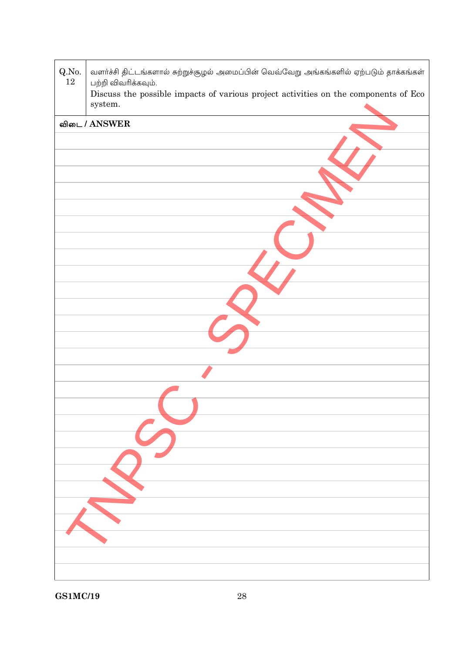| Q.No.<br>12 | வளர்ச்சி திட்டங்களால் சுற்றுச்சூழல் அமைப்பின் வெவ்வேறு அங்கங்களில் ஏற்படும் தாக்கங்கள்<br>பற்றி விவரிக்கவும். |
|-------------|---------------------------------------------------------------------------------------------------------------|
|             | Discuss the possible impacts of various project activities on the components of Eco<br>system.                |
|             | விடை / ANSWER                                                                                                 |
|             |                                                                                                               |
|             |                                                                                                               |
|             |                                                                                                               |
|             |                                                                                                               |
|             |                                                                                                               |
|             |                                                                                                               |
|             |                                                                                                               |
|             |                                                                                                               |
|             |                                                                                                               |
|             |                                                                                                               |
|             |                                                                                                               |
|             |                                                                                                               |
|             |                                                                                                               |
|             |                                                                                                               |
|             |                                                                                                               |
|             |                                                                                                               |
|             |                                                                                                               |
|             |                                                                                                               |
|             |                                                                                                               |
|             |                                                                                                               |
|             |                                                                                                               |
|             |                                                                                                               |
|             |                                                                                                               |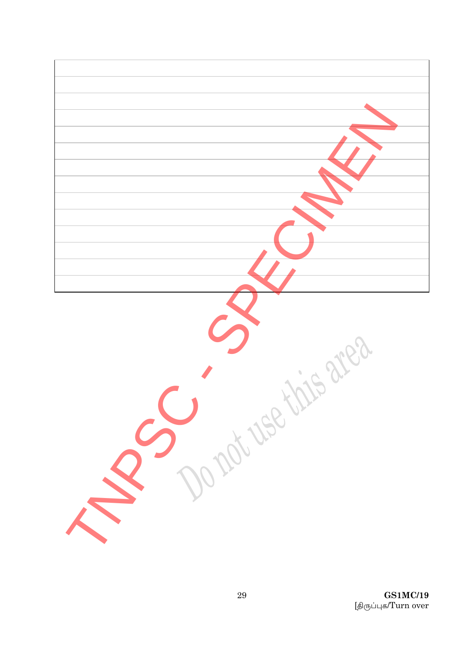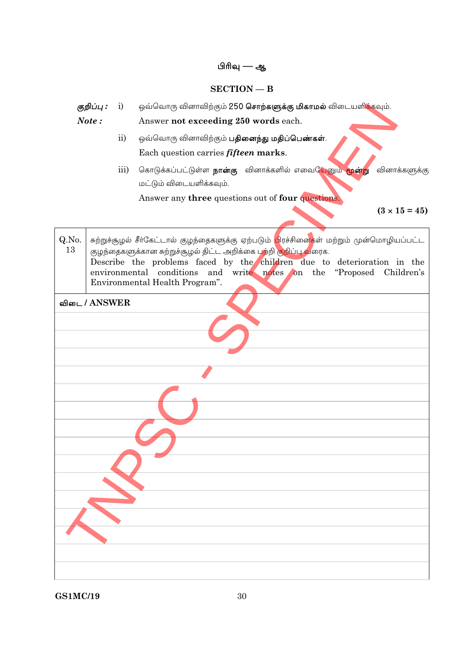#### பிரிவு — ஆ

#### $SECTION - B$

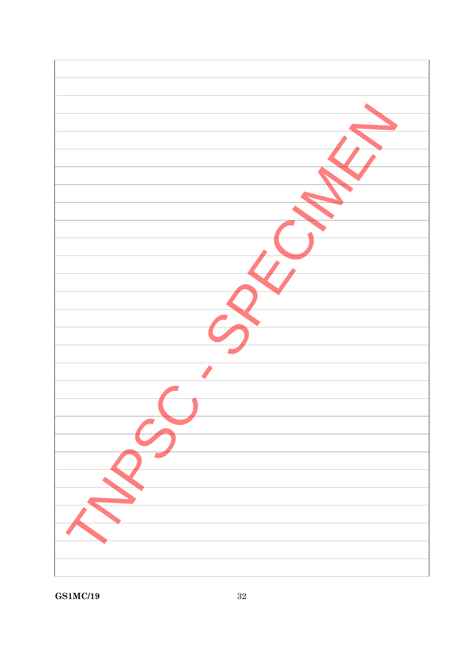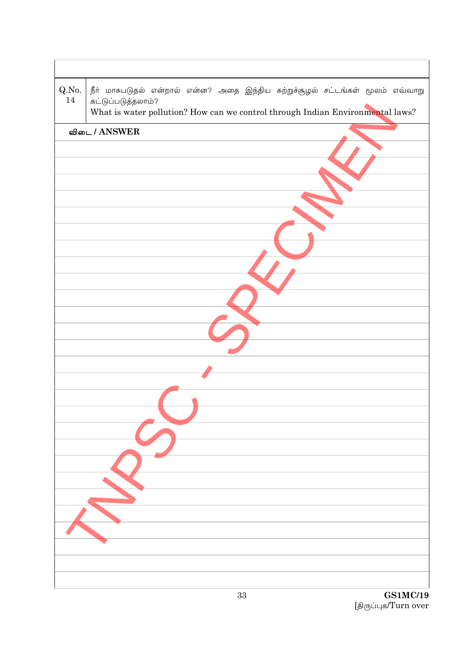| Q.No.<br>14 | நீா் மாசுபடுதல் என்றால் என்ன? அதை இந்திய சுற்றுச்சூழல் சட்டங்கள் மூலம் எவ்வாறு<br>கட்டுப்படுத்தலாம்?<br>What is water pollution? How can we control through Indian Environmental laws? |
|-------------|----------------------------------------------------------------------------------------------------------------------------------------------------------------------------------------|
|             | விடை / ANSWER                                                                                                                                                                          |
|             |                                                                                                                                                                                        |
|             |                                                                                                                                                                                        |
|             |                                                                                                                                                                                        |
|             |                                                                                                                                                                                        |
|             |                                                                                                                                                                                        |
|             |                                                                                                                                                                                        |
|             |                                                                                                                                                                                        |
|             |                                                                                                                                                                                        |
|             |                                                                                                                                                                                        |
|             |                                                                                                                                                                                        |
|             |                                                                                                                                                                                        |
|             |                                                                                                                                                                                        |
|             |                                                                                                                                                                                        |
|             |                                                                                                                                                                                        |
|             |                                                                                                                                                                                        |
|             |                                                                                                                                                                                        |
|             |                                                                                                                                                                                        |
|             |                                                                                                                                                                                        |
|             |                                                                                                                                                                                        |
|             |                                                                                                                                                                                        |
|             |                                                                                                                                                                                        |
|             |                                                                                                                                                                                        |
|             |                                                                                                                                                                                        |
|             |                                                                                                                                                                                        |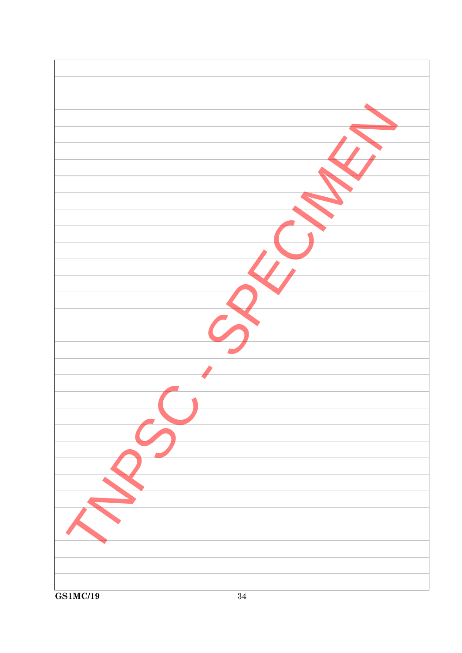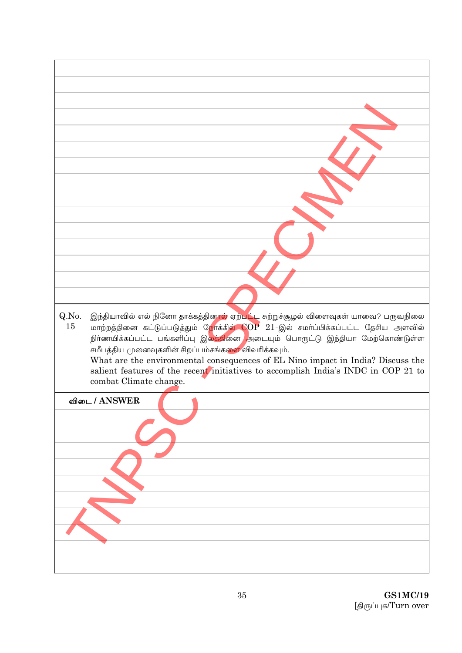| Q.No.<br>15 | இந்தியாவில் எல் நினோ தாக்கத்தி <mark>னால்</mark> ஏற்பட்ட சுற்றுச்சூழல் விளைவுகள் யாவை? பருவநிலை                                                                               |
|-------------|-------------------------------------------------------------------------------------------------------------------------------------------------------------------------------|
|             | மாற்றத்தினை கட்டுப்படுத்தும் நோக்கில் COP 21-இல் சமா்ப்பிக்கப்பட்ட தேசிய அளவில்<br>நிர்ணயிக்கப்பட்ட பங்களிப்பு இ <mark>லக்கினை அ</mark> டையும் பொருட்டு இந்தியா மேற்கொண்டுள்ள |
|             | சமீபத்திய முனைவுகளின் சிறப்பம்சங்க <mark>ளை</mark> விவரிக்கவும்.                                                                                                              |
|             | What are the environmental consequences of EL Nino impact in India? Discuss the                                                                                               |
|             | salient features of the recent initiatives to accomplish India's INDC in COP 21 to<br>combat Climate change.                                                                  |
|             |                                                                                                                                                                               |
|             | விடை / ANSWER                                                                                                                                                                 |
|             |                                                                                                                                                                               |
|             |                                                                                                                                                                               |
|             |                                                                                                                                                                               |
|             |                                                                                                                                                                               |
|             |                                                                                                                                                                               |
|             |                                                                                                                                                                               |
|             |                                                                                                                                                                               |
|             |                                                                                                                                                                               |
|             |                                                                                                                                                                               |
|             |                                                                                                                                                                               |
|             |                                                                                                                                                                               |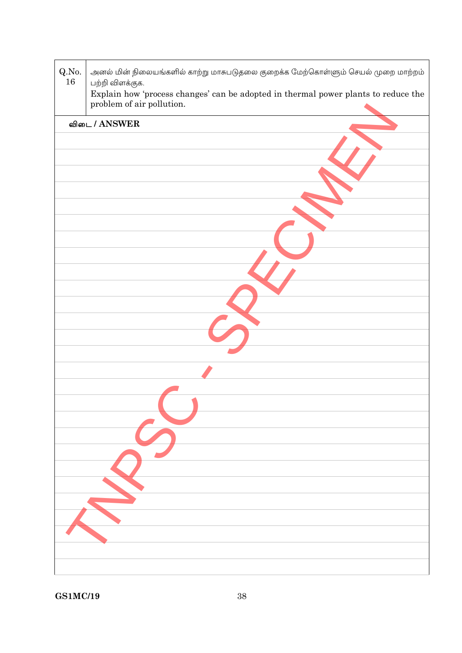| Q.No.<br>$16\,$ | அனல் மின் நிலையங்களில் காற்று மாசுபடுதலை குறைக்க மேற்கொள்ளும் செயல் முறை மாற்றம்<br>பற்றி விளக்குக.             |
|-----------------|-----------------------------------------------------------------------------------------------------------------|
|                 | Explain how 'process changes' can be adopted in thermal power plants to reduce the<br>problem of air pollution. |
|                 | விடை / ANSWER                                                                                                   |
|                 |                                                                                                                 |
|                 |                                                                                                                 |
|                 |                                                                                                                 |
|                 |                                                                                                                 |
|                 |                                                                                                                 |
|                 |                                                                                                                 |
|                 |                                                                                                                 |
|                 |                                                                                                                 |
|                 |                                                                                                                 |
|                 |                                                                                                                 |
|                 |                                                                                                                 |
|                 |                                                                                                                 |
|                 |                                                                                                                 |
|                 |                                                                                                                 |
|                 |                                                                                                                 |
|                 |                                                                                                                 |
|                 |                                                                                                                 |
|                 |                                                                                                                 |
|                 |                                                                                                                 |
|                 |                                                                                                                 |
|                 |                                                                                                                 |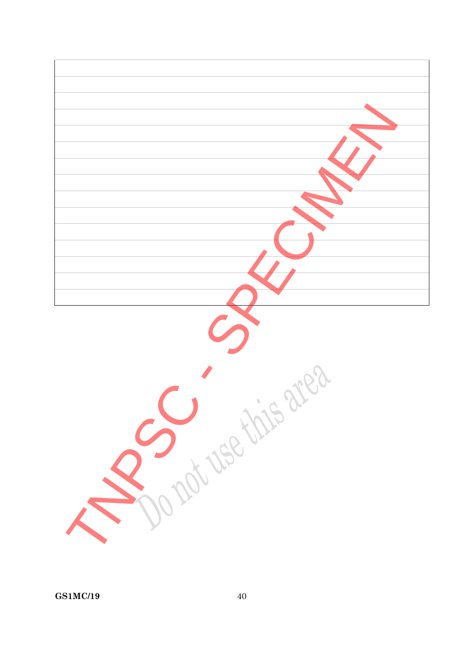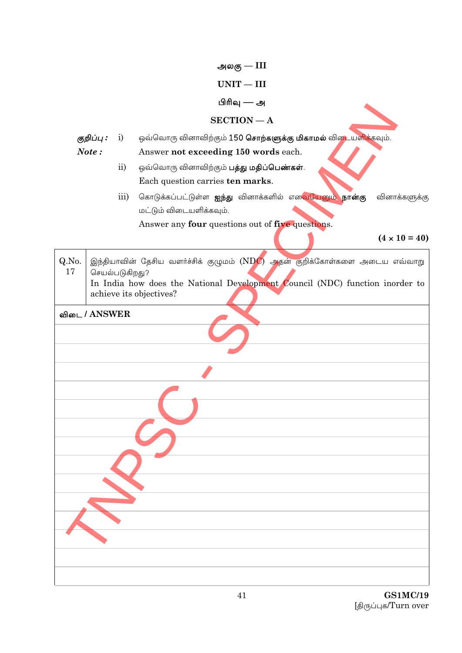அலகு —  $III$ 

# $UNIT - III$

# பிரிவு — அ

# $SECTION - A$

ஒவ்வொரு வினாவிற்கும் 150 **சொற்களுக்கு மிகாமல்** வி**டையளிக்க**வும். குறிப்பு :  $i)$ 

#### Note: Answer not exceeding 150 words each.

- ஒவ்வொரு வினாவிற்கும் **பத்து மதிப்பெண்கள்**.  $\overline{ii}$ Each question carries ten marks.
- கொடுக்கப்பட்டுள்ள **ஐந்து** வினாக்களில் எ**ையேனும் நான்கு**  $iii)$ வினாக்களுக்கு மட்டும் விடையளிக்கவும்.

Answer any four questions out of five questions.

 $(4 \times 10 = 40)$ 

| Q.No.<br>17 | இந்தியாவின் தேசிய வளர்ச்சிக் குழுமம் (NDC) அதன் குறிக்கோள்களை அடைய எவ்வாறு<br>செயல்படுகிறது?            |  |
|-------------|---------------------------------------------------------------------------------------------------------|--|
|             | In India how does the National Development Council (NDC) function inorder to<br>achieve its objectives? |  |
|             | விடை / ANSWER                                                                                           |  |
|             |                                                                                                         |  |
|             |                                                                                                         |  |
|             |                                                                                                         |  |
|             |                                                                                                         |  |
|             |                                                                                                         |  |
|             |                                                                                                         |  |
|             |                                                                                                         |  |
|             |                                                                                                         |  |
|             |                                                                                                         |  |
|             |                                                                                                         |  |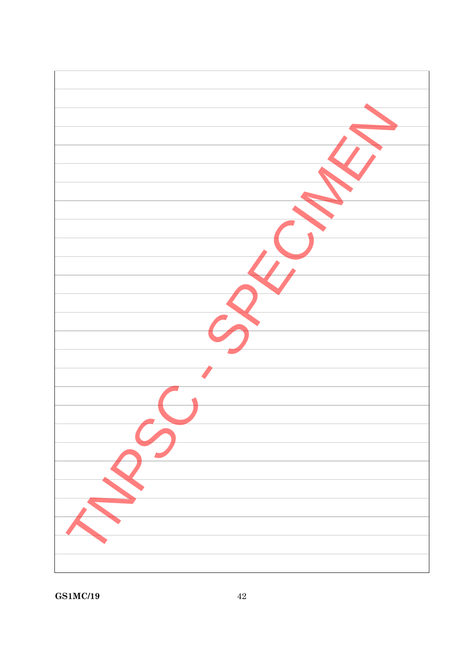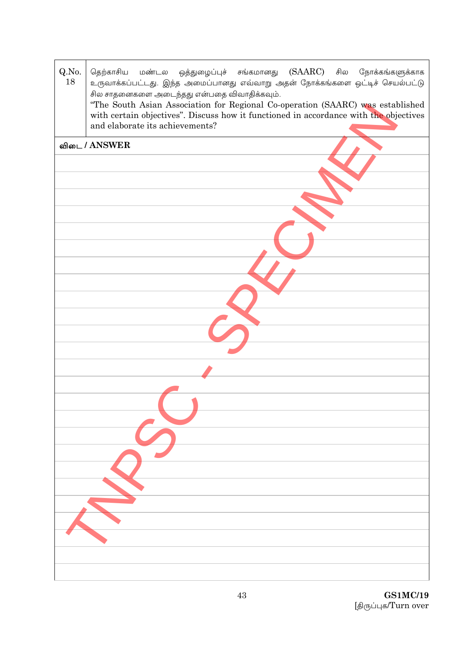| Q.No.<br>18 | (SAARC) சில<br>தெற்காசிய மண்டல ஒத்துழைப்புச்<br>நோக்கங்களுக்காக<br>சங்கமானது<br>உருவாக்கப்பட்டது. இந்த அமைப்பானது எவ்வாறு அதன் நோக்கங்களை ஒட்டிச் செயல்பட்டு<br>சில சாதனைகளை அடைந்தது என்பதை விவாதிக்கவும்.<br>"The South Asian Association for Regional Co-operation (SAARC) was established<br>with certain objectives". Discuss how it functioned in accordance with the objectives<br>and elaborate its achievements? |
|-------------|---------------------------------------------------------------------------------------------------------------------------------------------------------------------------------------------------------------------------------------------------------------------------------------------------------------------------------------------------------------------------------------------------------------------------|
|             | விடை / ANSWER                                                                                                                                                                                                                                                                                                                                                                                                             |
|             |                                                                                                                                                                                                                                                                                                                                                                                                                           |
|             |                                                                                                                                                                                                                                                                                                                                                                                                                           |
|             |                                                                                                                                                                                                                                                                                                                                                                                                                           |
|             |                                                                                                                                                                                                                                                                                                                                                                                                                           |
|             |                                                                                                                                                                                                                                                                                                                                                                                                                           |
|             |                                                                                                                                                                                                                                                                                                                                                                                                                           |
|             |                                                                                                                                                                                                                                                                                                                                                                                                                           |
|             |                                                                                                                                                                                                                                                                                                                                                                                                                           |
|             |                                                                                                                                                                                                                                                                                                                                                                                                                           |
|             |                                                                                                                                                                                                                                                                                                                                                                                                                           |
|             |                                                                                                                                                                                                                                                                                                                                                                                                                           |
|             |                                                                                                                                                                                                                                                                                                                                                                                                                           |
|             |                                                                                                                                                                                                                                                                                                                                                                                                                           |
|             |                                                                                                                                                                                                                                                                                                                                                                                                                           |
|             |                                                                                                                                                                                                                                                                                                                                                                                                                           |
|             |                                                                                                                                                                                                                                                                                                                                                                                                                           |
|             |                                                                                                                                                                                                                                                                                                                                                                                                                           |
|             |                                                                                                                                                                                                                                                                                                                                                                                                                           |
|             |                                                                                                                                                                                                                                                                                                                                                                                                                           |
|             |                                                                                                                                                                                                                                                                                                                                                                                                                           |
|             |                                                                                                                                                                                                                                                                                                                                                                                                                           |
|             |                                                                                                                                                                                                                                                                                                                                                                                                                           |
|             |                                                                                                                                                                                                                                                                                                                                                                                                                           |
|             |                                                                                                                                                                                                                                                                                                                                                                                                                           |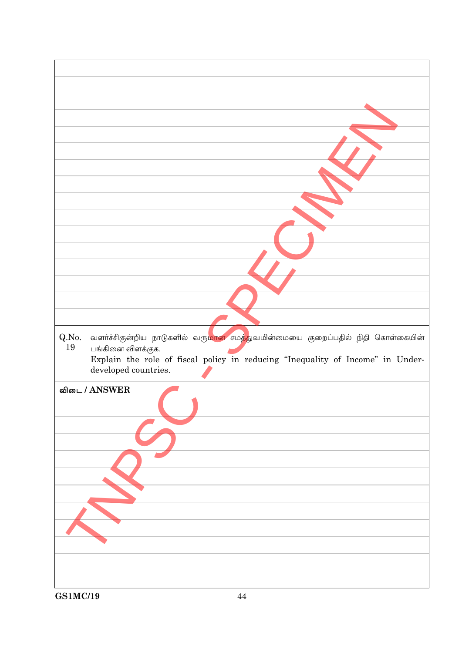| Q.No. | வளா்ச்சிகுன்றிய நாடுகளில் வரு <mark>மான</mark> சமத்துவமின்மையை குறைப்பதில் நிதி கொள்கையின்          |
|-------|-----------------------------------------------------------------------------------------------------|
| 19    | பங்கினை விளக்குக.<br>Explain the role of fiscal policy in reducing "Inequality of Income" in Under- |
|       | developed countries.                                                                                |
|       | விடை / ANSWER                                                                                       |
|       |                                                                                                     |
|       |                                                                                                     |
|       |                                                                                                     |
|       |                                                                                                     |
|       |                                                                                                     |
|       |                                                                                                     |
|       |                                                                                                     |
|       |                                                                                                     |
|       |                                                                                                     |
|       |                                                                                                     |
|       |                                                                                                     |
|       |                                                                                                     |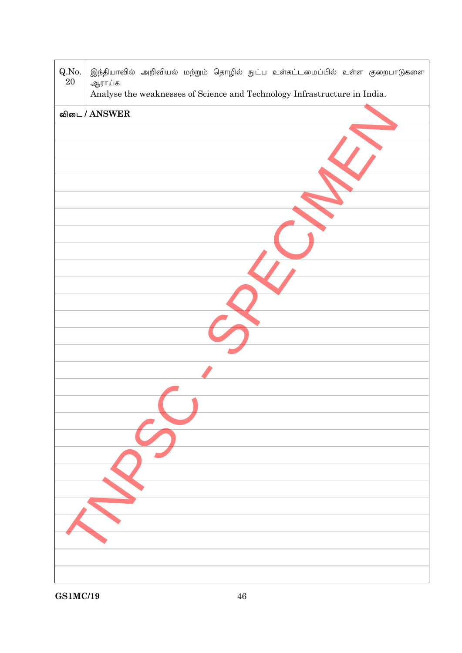| Q.No.<br>$20\,$ | இந்தியாவில் அறிவியல் மற்றும் தொழில் நுட்ப உள்கட்டமைப்பில் உள்ள குறைபாடுகளை<br>ஆராய்க. |
|-----------------|---------------------------------------------------------------------------------------|
|                 | Analyse the weaknesses of Science and Technology Infrastructure in India.             |
|                 | விடை / ANSWER                                                                         |
|                 |                                                                                       |
|                 |                                                                                       |
|                 |                                                                                       |
|                 |                                                                                       |
|                 |                                                                                       |
|                 |                                                                                       |
|                 |                                                                                       |
|                 |                                                                                       |
|                 |                                                                                       |
|                 |                                                                                       |
|                 |                                                                                       |
|                 |                                                                                       |
|                 |                                                                                       |
|                 |                                                                                       |
|                 |                                                                                       |
|                 |                                                                                       |
|                 |                                                                                       |
|                 |                                                                                       |
|                 |                                                                                       |
|                 |                                                                                       |
|                 |                                                                                       |
|                 |                                                                                       |
|                 |                                                                                       |
|                 |                                                                                       |
|                 |                                                                                       |
|                 |                                                                                       |
|                 |                                                                                       |
|                 |                                                                                       |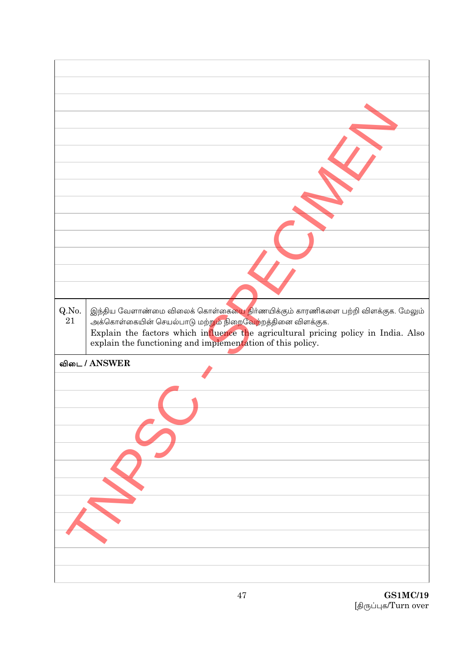| Q.No.<br>21 | இந்திய வேளாண்மை விலைக் கொள்கையை நிர்ணயிக்கும் காரணிகளை பற்றி விளக்குக. மேலும்<br>அக்கொள்கையின் செயல்பாடு மற் <mark>றும் நிறைவேற்</mark> றத்தினை விளக்குக. |
|-------------|-----------------------------------------------------------------------------------------------------------------------------------------------------------|
|             | Explain the factors which influence the agricultural pricing policy in India. Also                                                                        |
|             | explain the functioning and implementation of this policy.                                                                                                |
|             | விடை / ANSWER                                                                                                                                             |
|             |                                                                                                                                                           |
|             |                                                                                                                                                           |
|             |                                                                                                                                                           |
|             |                                                                                                                                                           |
|             |                                                                                                                                                           |
|             |                                                                                                                                                           |
|             |                                                                                                                                                           |
|             |                                                                                                                                                           |
|             |                                                                                                                                                           |
|             |                                                                                                                                                           |
|             |                                                                                                                                                           |
|             |                                                                                                                                                           |
|             |                                                                                                                                                           |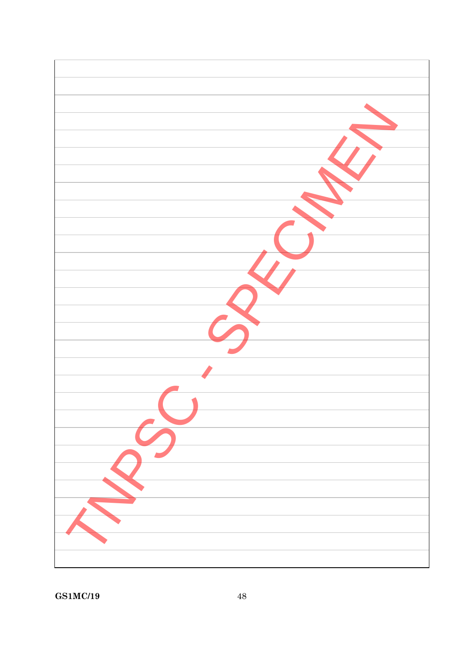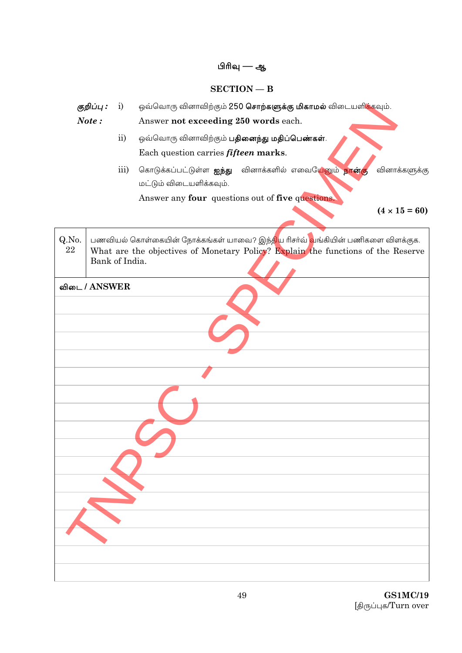## பிரிவு — ஆ

## $SECTION - B$

குறிப்பு : ஒவ்வொரு வினாவிற்கும் 250 சொ**ற்களுக்கு மிகாமல்** விடையளி<mark>க்க</mark>வும்.  $i)$ 

Answer not exceeding 250 words each. Note:

- ஒவ்வொரு வினாவிற்கும் **பதினைந்து மதிப்பெண்கள்**.  $\mathbf{ii}$ Each question carries *fifteen* marks.
- கொடுக்கப்பட்டுள்ள **ஐந்து** வினாக்களில் எவையேனும் <mark>நான்கு</mark> வினாக்களுக்கு iii) மட்டும் விடையளிக்கவும்.

Answer any four questions out of five questions

 $(4 \times 15 = 60)$ 

| Q.No. | பணவியல் கொள்கையின் நோக்கங்கள் யாவை? இந் <mark>தி</mark> ய ரிசர்வ் <mark>வ</mark> ங்கியின் பணிகளை விளக்குக. |
|-------|------------------------------------------------------------------------------------------------------------|
| 22    | What are the objectives of Monetary Policy? Explain the functions of the Reserve<br>Bank of India.         |
|       |                                                                                                            |
|       | விடை / ANSWER                                                                                              |
|       |                                                                                                            |
|       |                                                                                                            |
|       |                                                                                                            |
|       |                                                                                                            |
|       |                                                                                                            |
|       |                                                                                                            |
|       |                                                                                                            |
|       |                                                                                                            |
|       |                                                                                                            |
|       |                                                                                                            |
|       |                                                                                                            |
|       |                                                                                                            |
|       |                                                                                                            |
|       |                                                                                                            |
|       |                                                                                                            |
|       |                                                                                                            |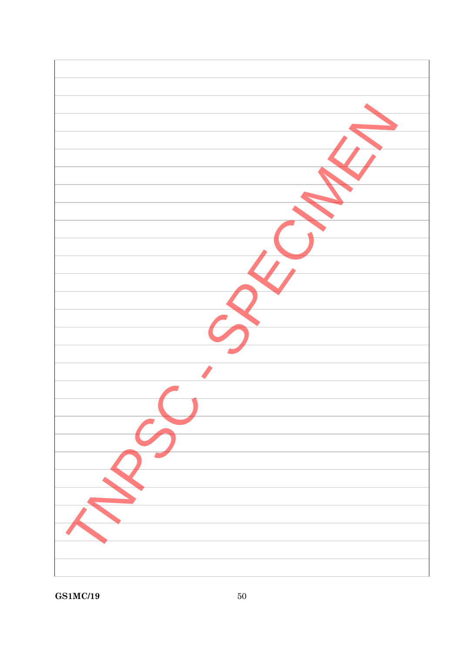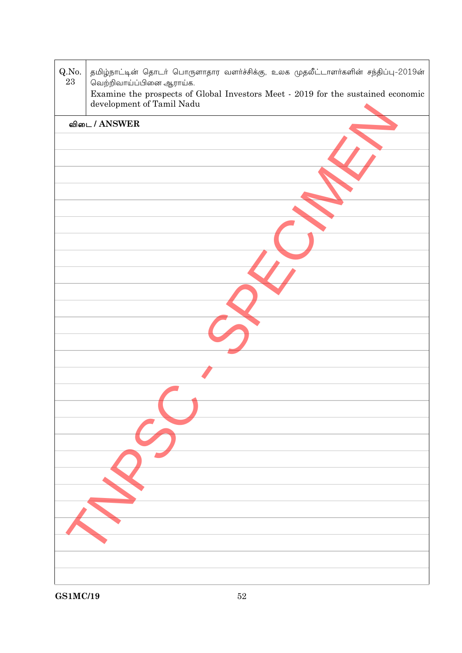| Q.No.<br>$\bf 23$ | தமிழ்நாட்டின் தொடர் பொருளாதார வளர்ச்சிக்கு, உலக முதலீட்டாளர்களின் சந்திப்பு-2019ன்<br>வெற்றிவாய்ப்பினை ஆராய்க. |
|-------------------|----------------------------------------------------------------------------------------------------------------|
|                   | Examine the prospects of Global Investors Meet - 2019 for the sustained economic<br>development of Tamil Nadu  |
|                   | விடை / ANSWER                                                                                                  |
|                   |                                                                                                                |
|                   |                                                                                                                |
|                   |                                                                                                                |
|                   |                                                                                                                |
|                   |                                                                                                                |
|                   |                                                                                                                |
|                   |                                                                                                                |
|                   |                                                                                                                |
|                   |                                                                                                                |
|                   |                                                                                                                |
|                   |                                                                                                                |
|                   |                                                                                                                |
|                   |                                                                                                                |
|                   |                                                                                                                |
|                   |                                                                                                                |
|                   |                                                                                                                |
|                   |                                                                                                                |
|                   |                                                                                                                |
|                   |                                                                                                                |
|                   |                                                                                                                |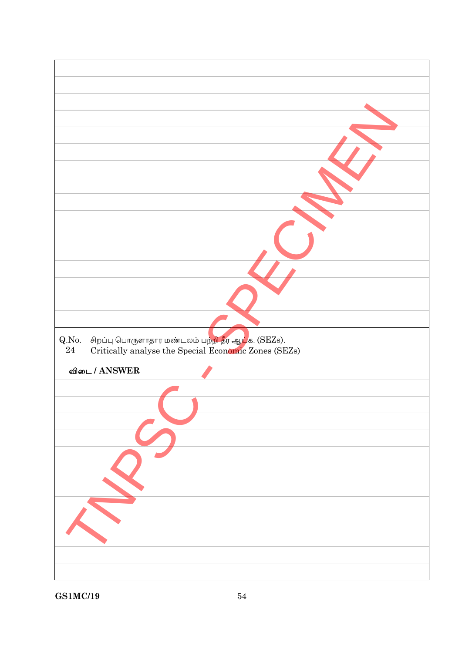| Q.No.<br>$\sqrt{24}$ | சிறப்பு பொருளாதார மண்டலம் பற்றி தீர ஆய்க. (SEZs).<br>Critically analyse the Special Economic Zones (SEZs) |
|----------------------|-----------------------------------------------------------------------------------------------------------|
|                      | விடை / ANSWER                                                                                             |
|                      |                                                                                                           |
|                      |                                                                                                           |
|                      |                                                                                                           |
|                      |                                                                                                           |
|                      |                                                                                                           |
|                      |                                                                                                           |
|                      |                                                                                                           |
|                      |                                                                                                           |
|                      |                                                                                                           |
|                      |                                                                                                           |
|                      |                                                                                                           |
|                      |                                                                                                           |
|                      |                                                                                                           |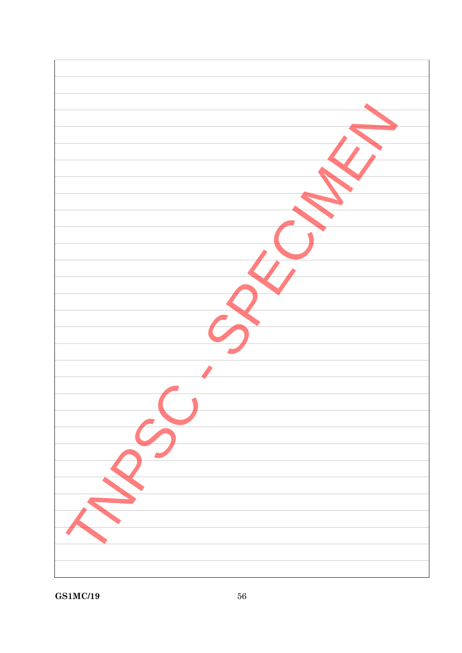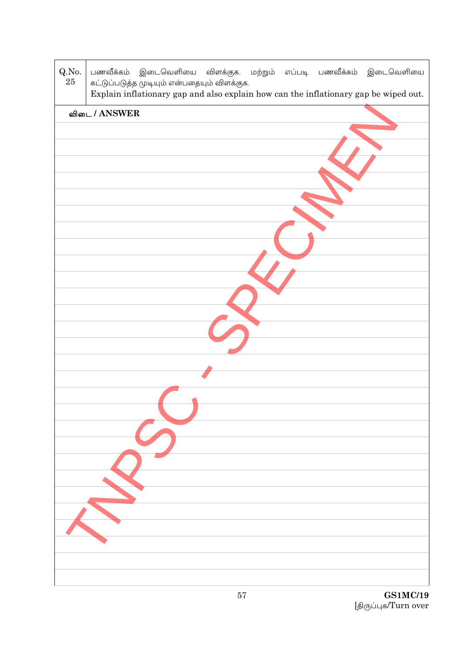| Q.No.<br>$25\,$ | எப்படி பணவீக்கம்<br>பணவீக்கம்<br>இடைவெளியை<br>விளக்குக. மற்றும்<br>இடைவெளியை<br>கட்டுப்படுத்த முடியும் என்பதையும் விளக்குக.<br>Explain inflationary gap and also explain how can the inflationary gap be wiped out. |
|-----------------|---------------------------------------------------------------------------------------------------------------------------------------------------------------------------------------------------------------------|
|                 | விடை / ANSWER                                                                                                                                                                                                       |
|                 |                                                                                                                                                                                                                     |
|                 |                                                                                                                                                                                                                     |
|                 |                                                                                                                                                                                                                     |
|                 |                                                                                                                                                                                                                     |
|                 |                                                                                                                                                                                                                     |
|                 |                                                                                                                                                                                                                     |
|                 |                                                                                                                                                                                                                     |
|                 |                                                                                                                                                                                                                     |
|                 |                                                                                                                                                                                                                     |
|                 |                                                                                                                                                                                                                     |
|                 |                                                                                                                                                                                                                     |
|                 |                                                                                                                                                                                                                     |
|                 |                                                                                                                                                                                                                     |
|                 |                                                                                                                                                                                                                     |
|                 |                                                                                                                                                                                                                     |
|                 |                                                                                                                                                                                                                     |
|                 |                                                                                                                                                                                                                     |
|                 |                                                                                                                                                                                                                     |
|                 |                                                                                                                                                                                                                     |
|                 |                                                                                                                                                                                                                     |
|                 |                                                                                                                                                                                                                     |
|                 |                                                                                                                                                                                                                     |
|                 |                                                                                                                                                                                                                     |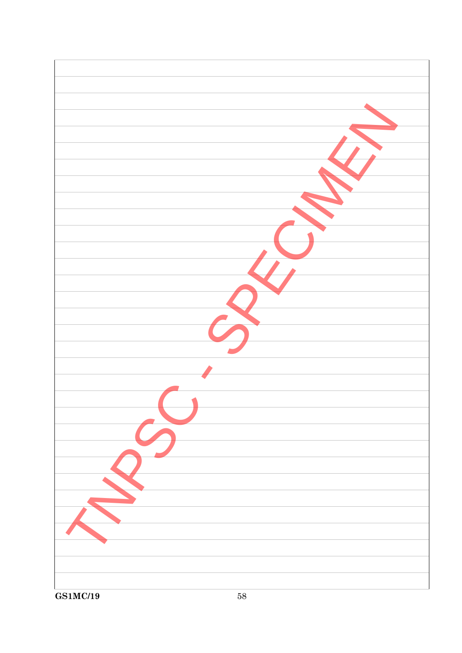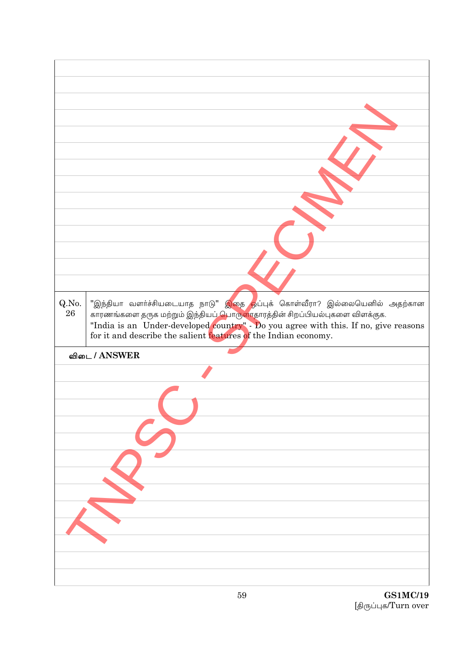| Q.No. | "இந்தியா வளர்ச்சியடையாத நாடு" <mark>இதை ஒ</mark> ப்புக் கொள்வீரா? இல்லையெனில் அதற்கான                                                                                           |
|-------|---------------------------------------------------------------------------------------------------------------------------------------------------------------------------------|
| 26    | காரணங்களை தருக மற்றும் இந்தியப <mark>் பொருள</mark> ாதாரத்தின் சிறப்பியல்புகளை விளக்குக.<br>"India is an Under-developed country" - Do you agree with this. If no, give reasons |
|       | for it and describe the salient features of the Indian economy.                                                                                                                 |
|       | விடை / ANSWER                                                                                                                                                                   |
|       |                                                                                                                                                                                 |
|       |                                                                                                                                                                                 |
|       |                                                                                                                                                                                 |
|       |                                                                                                                                                                                 |
|       |                                                                                                                                                                                 |
|       |                                                                                                                                                                                 |
|       |                                                                                                                                                                                 |
|       |                                                                                                                                                                                 |
|       |                                                                                                                                                                                 |
|       |                                                                                                                                                                                 |
|       |                                                                                                                                                                                 |
|       |                                                                                                                                                                                 |
|       |                                                                                                                                                                                 |
|       |                                                                                                                                                                                 |
|       |                                                                                                                                                                                 |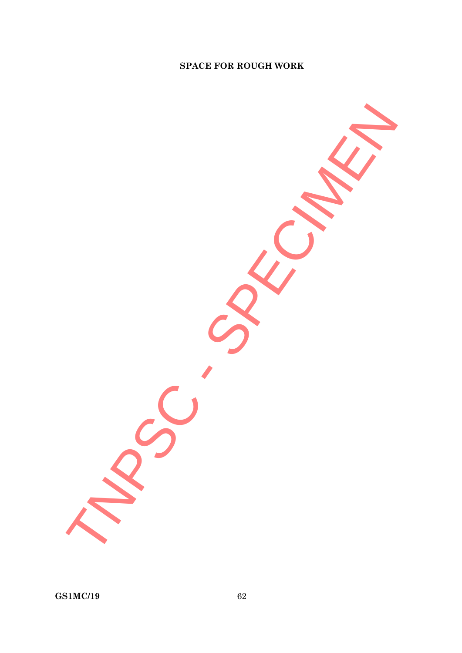# **SPACE FOR ROUGH WORK**

TNPSC - SPECIMENT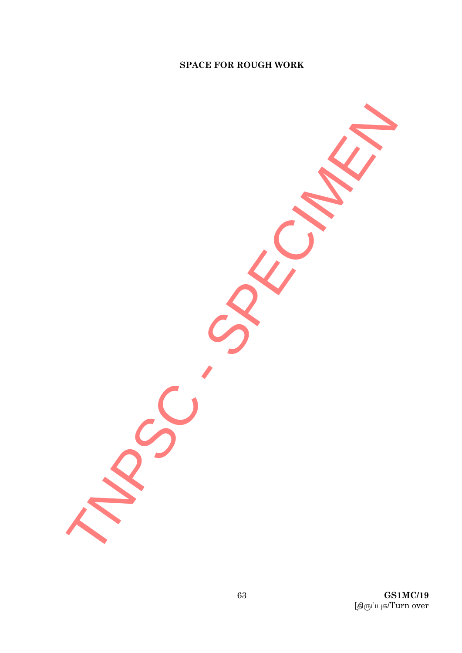# **SPACE FOR ROUGH WORK**

**GS1MC/19** [திருப்புக/Turn over